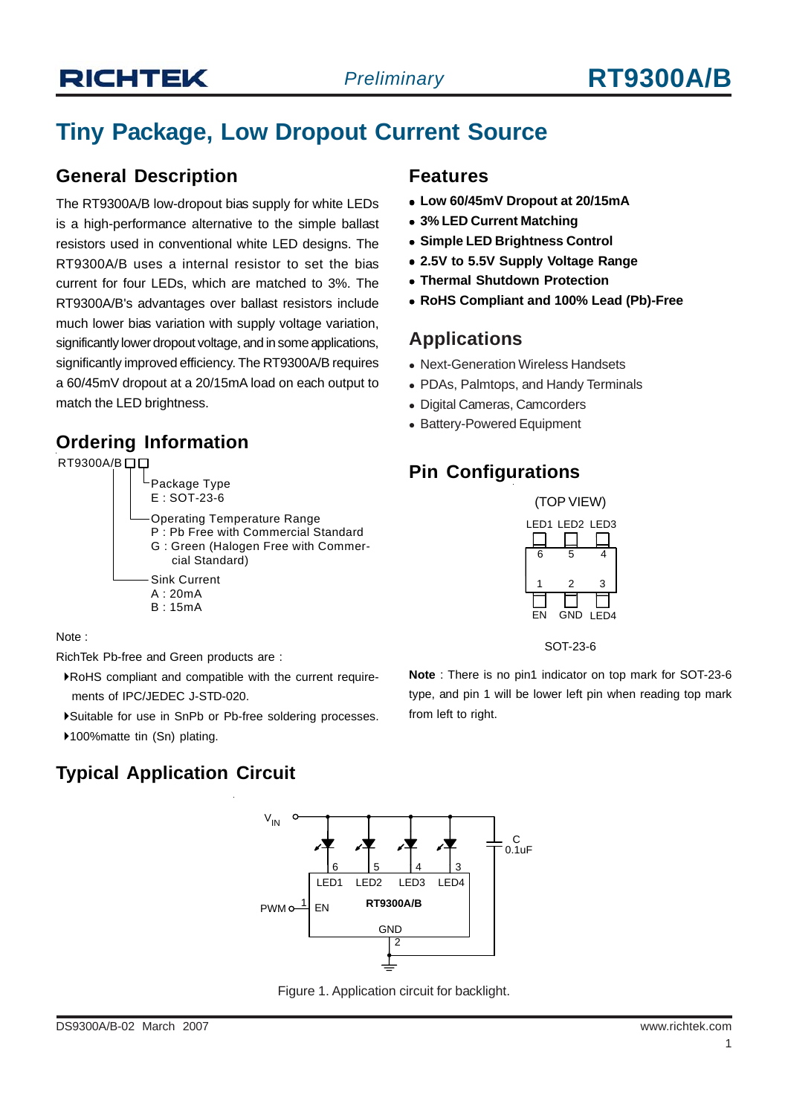# **Tiny Package, Low Dropout Current Source**

#### **General Description**

The RT9300A/B low-dropout bias supply for white LEDs is a high-performance alternative to the simple ballast resistors used in conventional white LED designs. The RT9300A/B uses a internal resistor to set the bias current for four LEDs, which are matched to 3%. The RT9300A/B's advantages over ballast resistors include much lower bias variation with supply voltage variation, significantly lower dropout voltage, and in some applications, significantly improved efficiency. The RT9300A/B requires a 60/45mV dropout at a 20/15mA load on each output to match the LED brightness.

### **Ordering Information**

**RT9300A/B□□** Package Type E : SOT-23-6 Operating Temperature Range P : Pb Free with Commercial Standard G : Green (Halogen Free with Commer cial Standard) Sink Current A : 20mA B : 15mA

Note :

RichTek Pb-free and Green products are :

- `RoHS compliant and compatible with the current require ments of IPC/JEDEC J-STD-020.
- `Suitable for use in SnPb or Pb-free soldering processes.
- ▶100%matte tin (Sn) plating.

# **Typical Application Circuit**





#### **Features**

- <sup>z</sup> **Low 60/45mV Dropout at 20/15mA**
- <sup>z</sup> **3% LED Current Matching**
- **Simple LED Brightness Control**
- <sup>z</sup> **2.5V to 5.5V Supply Voltage Range**
- **Thermal Shutdown Protection**
- <sup>z</sup> **RoHS Compliant and 100% Lead (Pb)-Free**

#### **Applications**

- Next-Generation Wireless Handsets
- PDAs, Palmtops, and Handy Terminals
- Digital Cameras, Camcorders
- Battery-Powered Equipment

### **Pin Configurations**



SOT-23-6

**Note** : There is no pin1 indicator on top mark for SOT-23-6 type, and pin 1 will be lower left pin when reading top mark from left to right.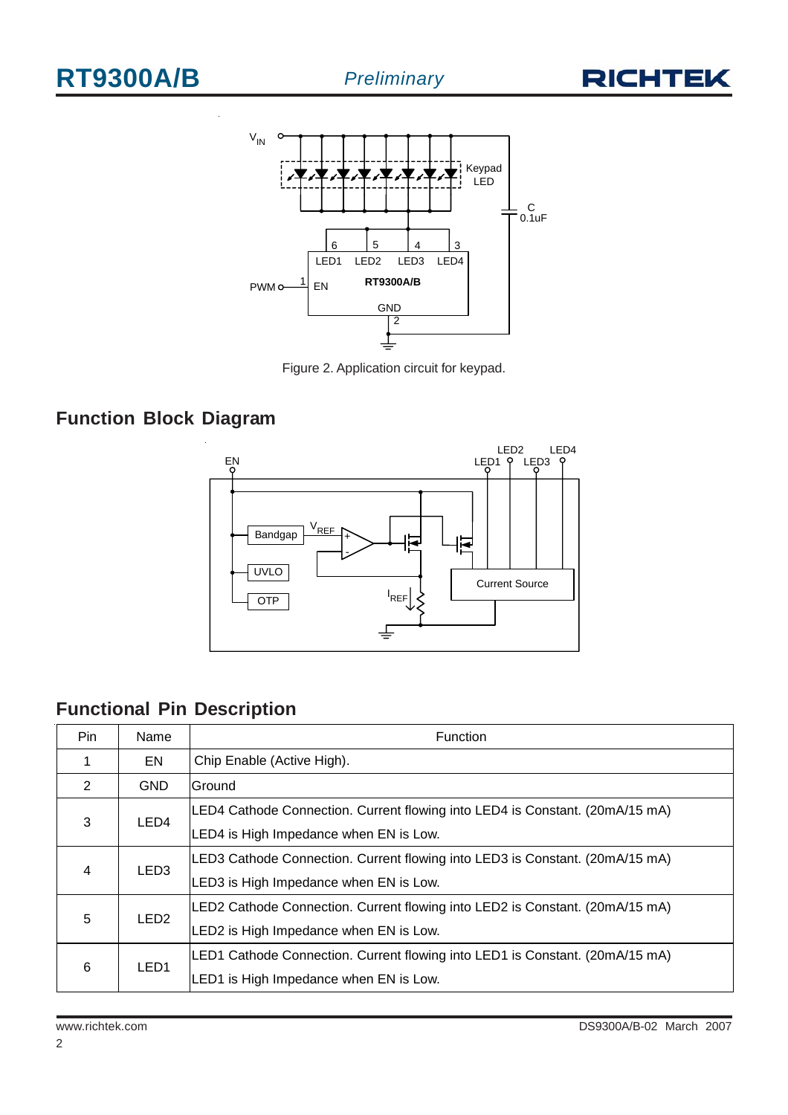



Figure 2. Application circuit for keypad.

## **Function Block Diagram**



# **Functional Pin Description**

| Pin. | Name             | Function                                                                      |  |  |
|------|------------------|-------------------------------------------------------------------------------|--|--|
|      | EN               | Chip Enable (Active High).                                                    |  |  |
| 2    | <b>GND</b>       | Ground                                                                        |  |  |
| 3    | LED <sub>4</sub> | LED4 Cathode Connection. Current flowing into LED4 is Constant. (20mA/15 mA)  |  |  |
|      |                  | LED4 is High Impedance when EN is Low.                                        |  |  |
| 4    | LED <sub>3</sub> | LED3 Cathode Connection. Current flowing into LED3 is Constant. (20mA/15 mA)  |  |  |
|      |                  | LED3 is High Impedance when EN is Low.                                        |  |  |
| 5    | LED <sub>2</sub> | (LED2 Cathode Connection. Current flowing into LED2 is Constant. (20mA/15 mA) |  |  |
|      |                  | LED2 is High Impedance when EN is Low.                                        |  |  |
| 6    | LED <sub>1</sub> | LED1 Cathode Connection. Current flowing into LED1 is Constant. (20mA/15 mA)  |  |  |
|      |                  | LED1 is High Impedance when EN is Low.                                        |  |  |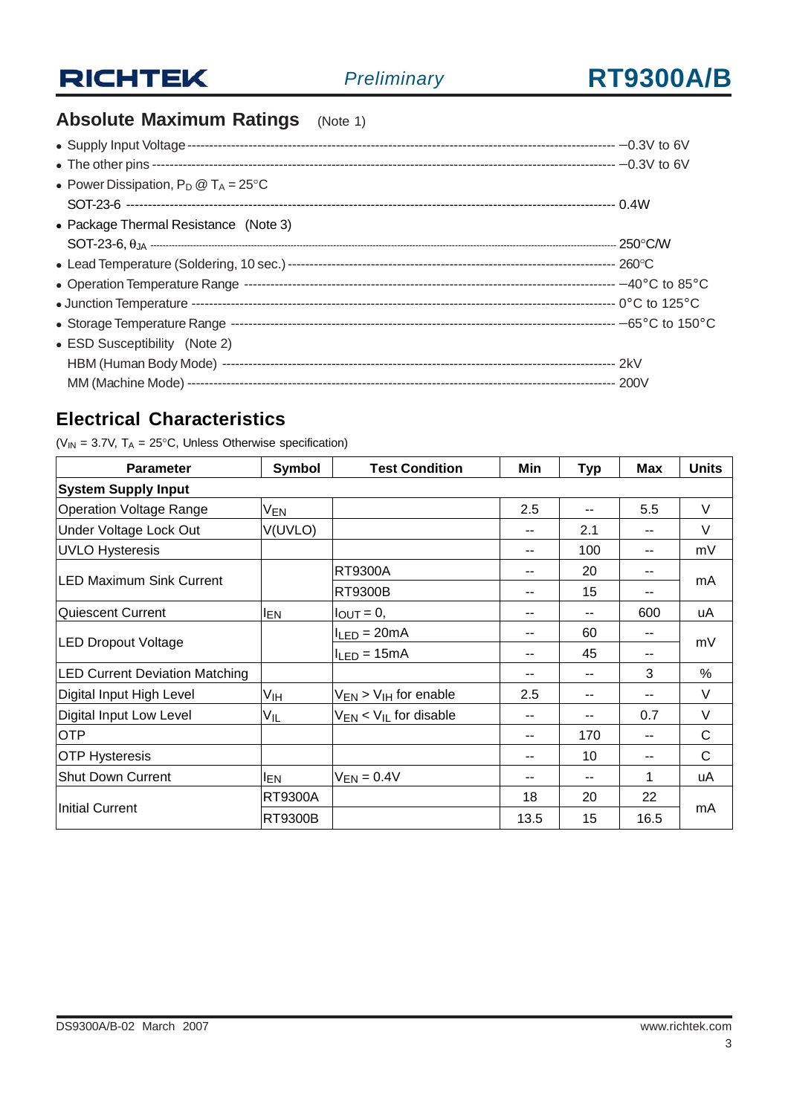# **RICHTEK**

# **Absolute Maximum Ratings** (Note 1)

| • Power Dissipation, $P_D @ T_A = 25^{\circ}C$ |  |
|------------------------------------------------|--|
|                                                |  |
| • Package Thermal Resistance (Note 3)          |  |
|                                                |  |
|                                                |  |
|                                                |  |
|                                                |  |
|                                                |  |
| • ESD Susceptibility (Note 2)                  |  |
|                                                |  |
|                                                |  |

#### **Electrical Characteristics**

( $V_{IN}$  = 3.7V,  $T_A$  = 25°C, Unless Otherwise specification)

| <b>Parameter</b>                      | Symbol         | <b>Test Condition</b>           | Min  | <b>Typ</b> | <b>Max</b> | <b>Units</b> |  |  |  |  |
|---------------------------------------|----------------|---------------------------------|------|------------|------------|--------------|--|--|--|--|
| <b>System Supply Input</b>            |                |                                 |      |            |            |              |  |  |  |  |
| <b>Operation Voltage Range</b>        | $V_{EN}$       |                                 | 2.5  | $-$        | 5.5        | $\vee$       |  |  |  |  |
| Under Voltage Lock Out                | V(UVLO)        |                                 | --   | 2.1        | --         | V            |  |  |  |  |
| <b>UVLO Hysteresis</b>                |                |                                 | --   | 100        | $- -$      | mV           |  |  |  |  |
|                                       |                | RT9300A                         | --   | 20         | $- -$      | mA           |  |  |  |  |
| <b>LED Maximum Sink Current</b>       |                | <b>RT9300B</b>                  | --   | 15         | --         |              |  |  |  |  |
| <b>Quiescent Current</b>              | len            | $I_{\text{OUT}} = 0$ ,          | --   | --         | 600        | uA           |  |  |  |  |
|                                       |                | $I_{LED} = 20mA$                | --   | 60         | $- -$      | mV           |  |  |  |  |
| <b>LED Dropout Voltage</b>            |                | $I_{LED} = 15mA$                | --   | 45         | --         |              |  |  |  |  |
| <b>LED Current Deviation Matching</b> |                |                                 |      | --         | 3          | $\%$         |  |  |  |  |
| Digital Input High Level              | νін            | $V_{EN}$ > $V_{IH}$ for enable  | 2.5  | --         | --         | V            |  |  |  |  |
| Digital Input Low Level               | $V_{IL}$       | $V_{EN}$ < $V_{IL}$ for disable | --   | ۰.         | 0.7        | V            |  |  |  |  |
| <b>OTP</b>                            |                |                                 | --   | 170        | $- -$      | C            |  |  |  |  |
| <b>OTP Hysteresis</b>                 |                |                                 | --   | 10         | $- -$      | C            |  |  |  |  |
| <b>Shut Down Current</b>              | len            | $V_{EN} = 0.4V$                 | --   | --         | 1          | uA           |  |  |  |  |
|                                       | RT9300A        |                                 | 18   | 20         | 22         | mA           |  |  |  |  |
| Initial Current                       | <b>RT9300B</b> |                                 | 13.5 | 15         | 16.5       |              |  |  |  |  |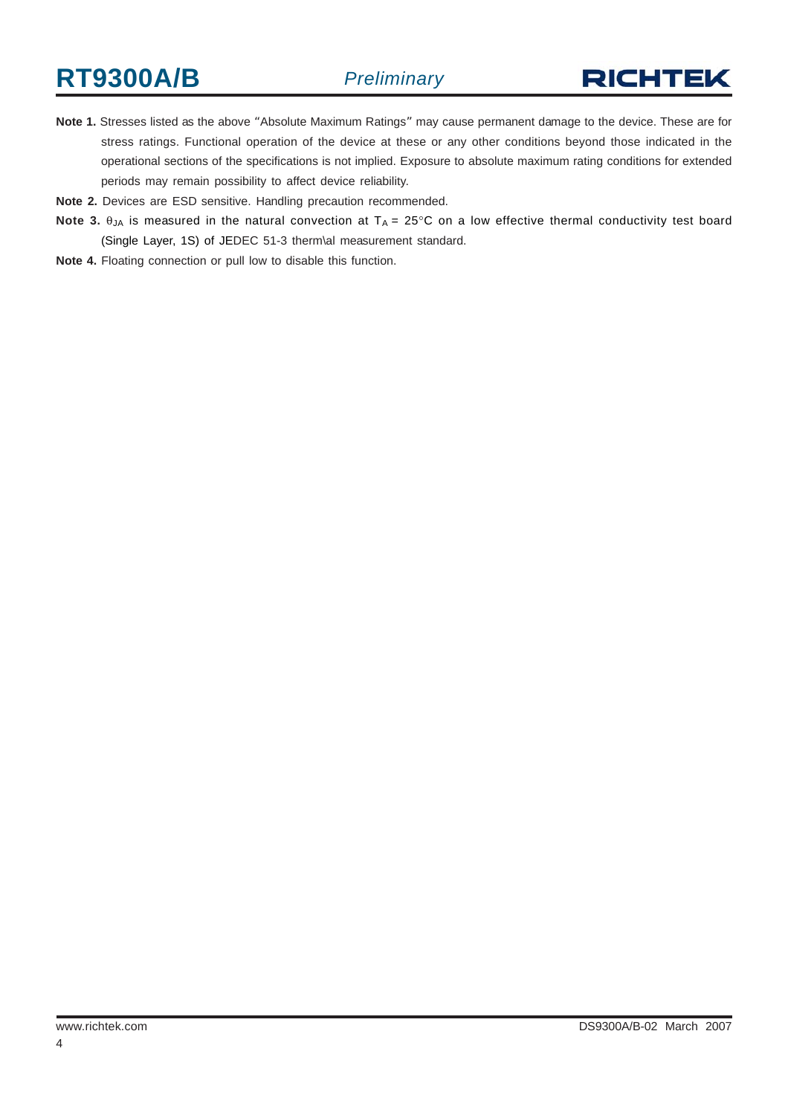

- **Note 1.** Stresses listed as the above "Absolute Maximum Ratings" may cause permanent damage to the device. These are for stress ratings. Functional operation of the device at these or any other conditions beyond those indicated in the operational sections of the specifications is not implied. Exposure to absolute maximum rating conditions for extended periods may remain possibility to affect device reliability.
- **Note 2.** Devices are ESD sensitive. Handling precaution recommended.
- Note 3.  $\theta_{JA}$  is measured in the natural convection at  $T_A = 25^{\circ}C$  on a low effective thermal conductivity test board (Single Layer, 1S) of JEDEC 51-3 therm\al measurement standard.
- **Note 4.** Floating connection or pull low to disable this function.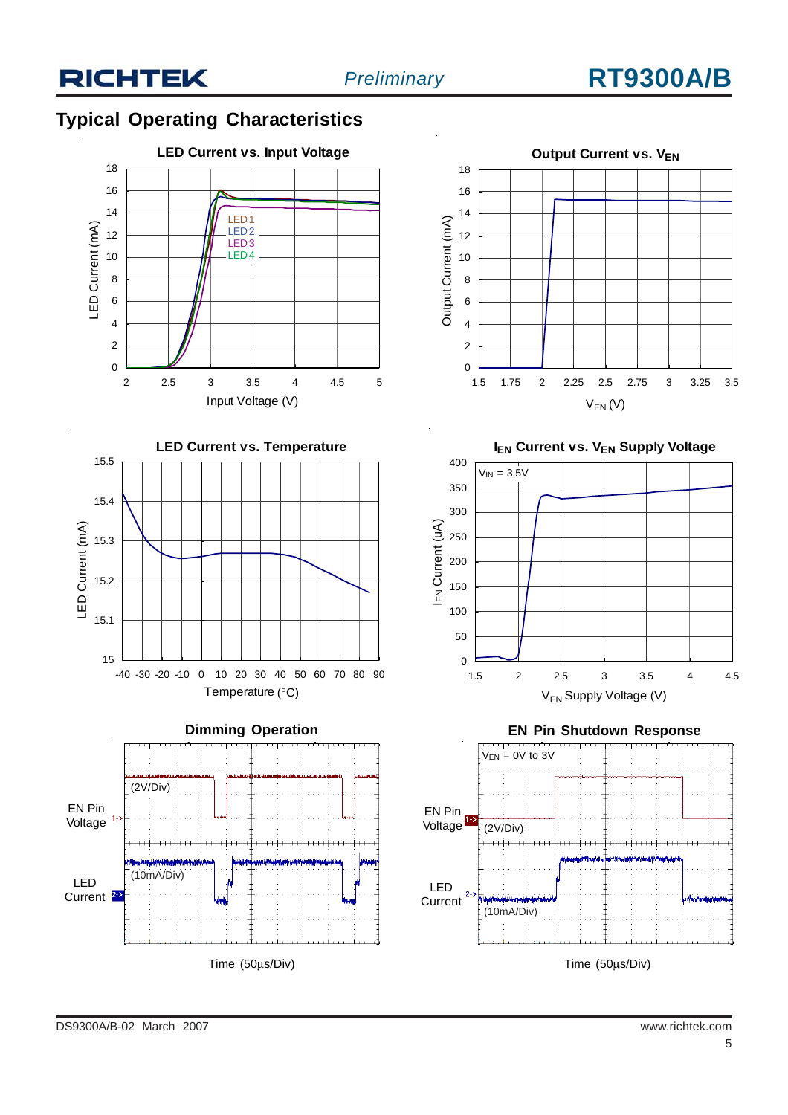## **Typical Operating Characteristics**









**IEN Current vs. V<sub>EN</sub> Supply Voltage** 



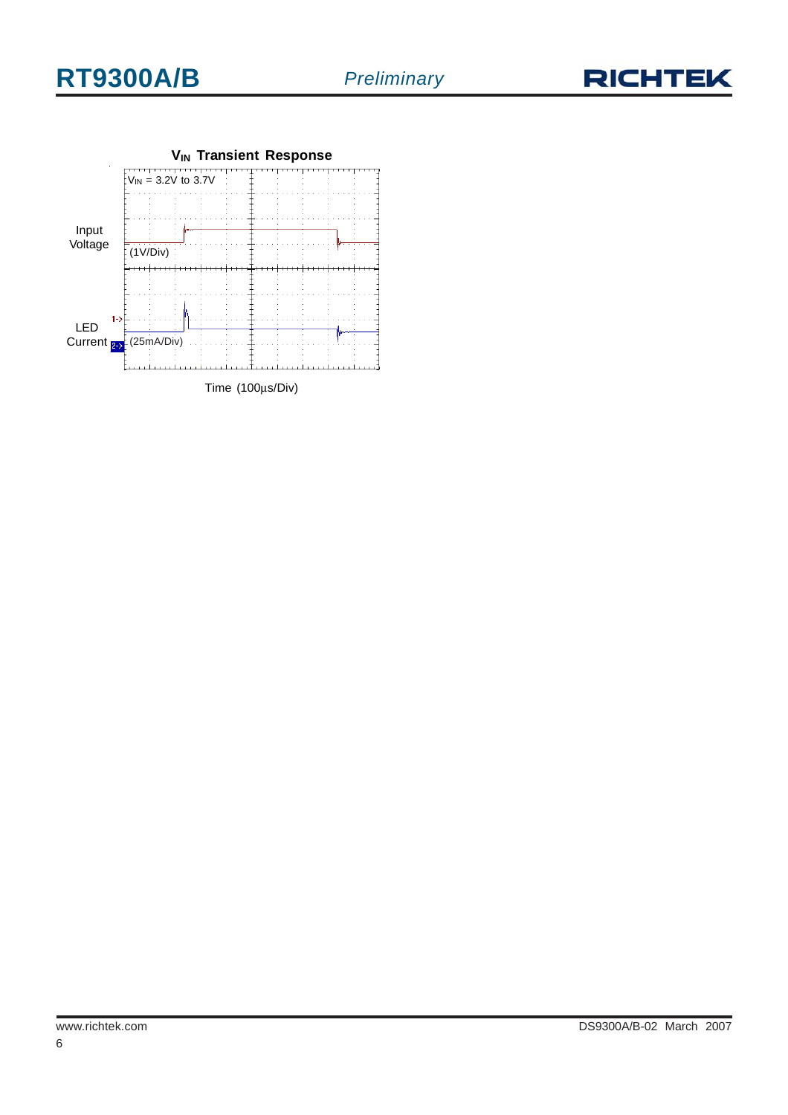